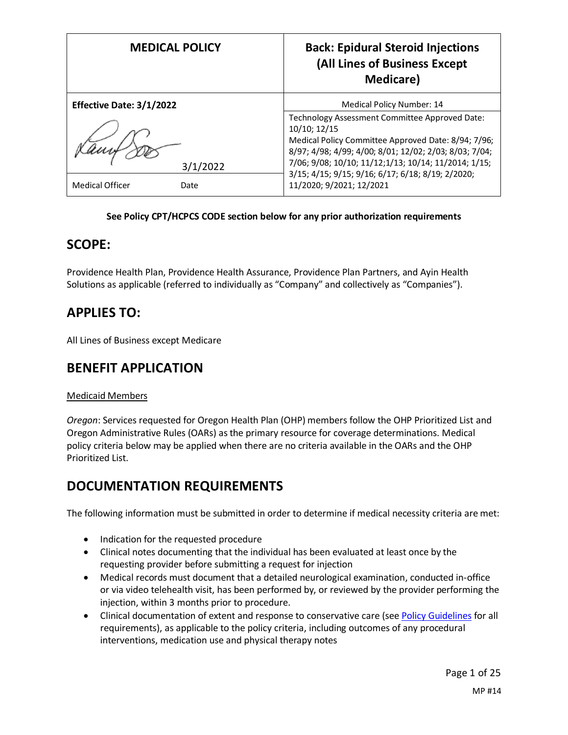|                          | <b>MEDICAL POLICY</b> | <b>Back: Epidural Steroid Injections</b><br>(All Lines of Business Except<br><b>Medicare</b> )            |
|--------------------------|-----------------------|-----------------------------------------------------------------------------------------------------------|
| Effective Date: 3/1/2022 |                       | Medical Policy Number: 14                                                                                 |
|                          |                       | Technology Assessment Committee Approved Date:<br>10/10; 12/15                                            |
|                          |                       | Medical Policy Committee Approved Date: 8/94; 7/96;                                                       |
|                          |                       | 8/97; 4/98; 4/99; 4/00; 8/01; 12/02; 2/03; 8/03; 7/04;                                                    |
|                          | 3/1/2022              | 7/06; 9/08; 10/10; 11/12;1/13; 10/14; 11/2014; 1/15;<br>3/15; 4/15; 9/15; 9/16; 6/17; 6/18; 8/19; 2/2020; |
| <b>Medical Officer</b>   | Date                  | 11/2020; 9/2021; 12/2021                                                                                  |

#### **See Policy CPT/HCPCS CODE section below for any prior authorization requirements**

### **SCOPE:**

Providence Health Plan, Providence Health Assurance, Providence Plan Partners, and Ayin Health Solutions as applicable (referred to individually as "Company" and collectively as "Companies").

## **APPLIES TO:**

All Lines of Business except Medicare

## **BENEFIT APPLICATION**

### Medicaid Members

*Oregon*: Services requested for Oregon Health Plan (OHP) members follow the OHP Prioritized List and Oregon Administrative Rules (OARs) as the primary resource for coverage determinations. Medical policy criteria below may be applied when there are no criteria available in the OARs and the OHP Prioritized List.

## <span id="page-0-0"></span>**DOCUMENTATION REQUIREMENTS**

The following information must be submitted in order to determine if medical necessity criteria are met:

- Indication for the requested procedure
- Clinical notes documenting that the individual has been evaluated at least once by the requesting provider before submitting a request for injection
- Medical records must document that a detailed neurological examination, conducted in-office or via video telehealth visit, has been performed by, or reviewed by the provider performing the injection, within 3 months prior to procedure.
- Clinical documentation of extent and response to conservative care (see Policy Guidelines for all requirements), as applicable to the policy criteria, including outcomes of any procedural interventions, medication use and physical therapy notes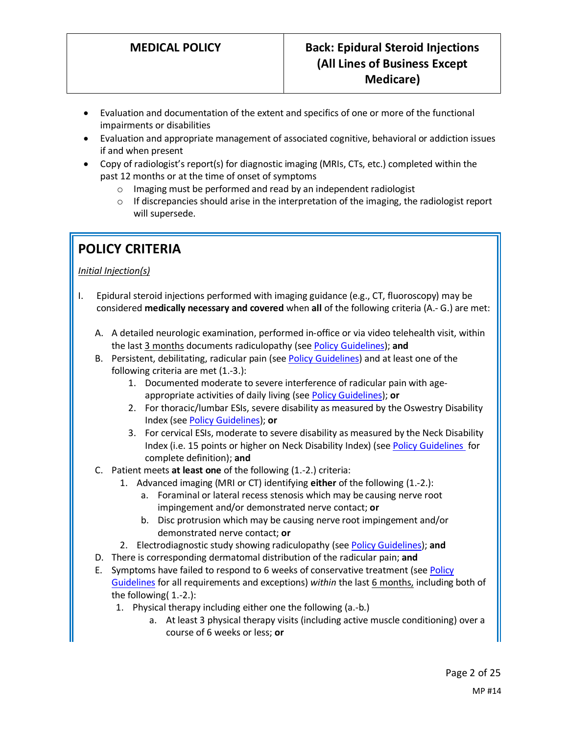- Evaluation and documentation of the extent and specifics of one or more of the functional impairments or disabilities
- Evaluation and appropriate management of associated cognitive, behavioral or addiction issues if and when present
- Copy of radiologist's report(s) for diagnostic imaging (MRIs, CTs, etc.) completed within the past 12 months or at the time of onset of symptoms
	- o Imaging must be performed and read by an independent radiologist
	- $\circ$  If discrepancies should arise in the interpretation of the imaging, the radiologist report will supersede.

# **POLICY CRITERIA**

### *Initial Injection(s)*

- I. Epidural steroid injections performed with imaging guidance (e.g., CT, fluoroscopy) may be considered **medically necessary and covered** when **all** of the following criteria (A.- G.) are met:
	- A. A detailed neurologic examination, performed in-office or via video telehealth visit, within the last 3 months documents radiculopathy (se[e Policy Guidelines\)](#page-5-0); **and**
	- B. Persistent, debilitating, radicular pain (see [Policy Guidelines\)](#page-6-0) and at least one of the following criteria are met (1.-3.):
		- 1. Documented moderate to severe interference of radicular pain with ageappropriate activities of daily living (see [Policy Guidelines\)](#page-4-0); **or**
		- 2. For thoracic/lumbar ESIs, severe disability as measured by the Oswestry Disability Index (see [Policy Guidelines\)](#page-5-1); **or**
		- 3. For cervical ESIs, moderate to severe disability as measured by the Neck Disability Index (i.e. 15 points or higher on Neck Disability Index) (se[e Policy Guidelines](#page-5-2) for complete definition); **and**
	- C. Patient meets **at least one** of the following (1.-2.) criteria:
		- 1. Advanced imaging (MRI or CT) identifying **either** of the following (1.-2.):
			- a. Foraminal or lateral recess stenosis which may be causing nerve root impingement and/or demonstrated nerve contact; **or**
			- b. Disc protrusion which may be causing nerve root impingement and/or demonstrated nerve contact; **or**
		- 2. Electrodiagnostic study showing radiculopathy (se[e Policy Guidelines\)](#page-5-0); **and**
	- D. There is corresponding dermatomal distribution of the radicular pain; **and**
	- E. Symptoms have failed to respond to 6 weeks of conservative treatment (see Policy Guidelines for all requirements and exceptions) *within* the last 6 months, including both of the following( 1.-2.):
		- 1. Physical therapy including either one the following (a.-b.)
			- a. At least 3 physical therapy visits (including active muscle conditioning) over a course of 6 weeks or less; **or**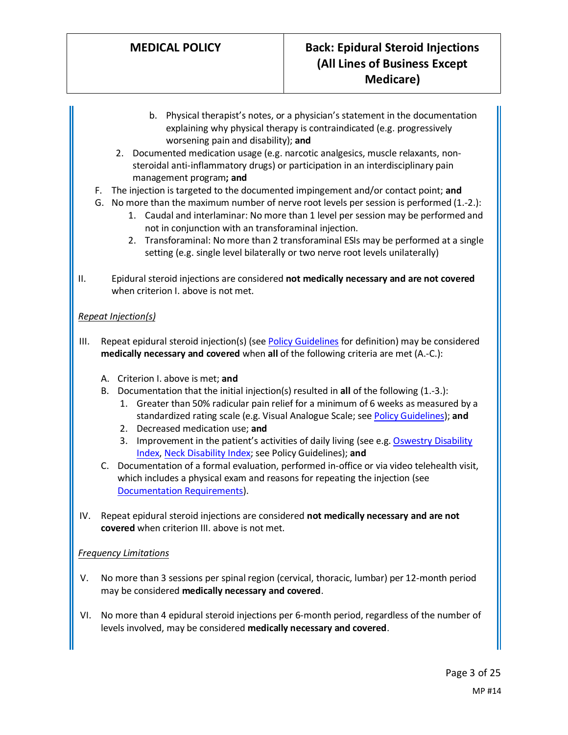- b. Physical therapist's notes, or a physician's statement in the documentation explaining why physical therapy is contraindicated (e.g. progressively worsening pain and disability); **and**
- 2. Documented medication usage (e.g. narcotic analgesics, muscle relaxants, nonsteroidal anti-inflammatory drugs) or participation in an interdisciplinary pain management program**; and**
- F. The injection is targeted to the documented impingement and/or contact point; **and**
- G. No more than the maximum number of nerve root levels per session is performed (1.-2.):
	- 1. Caudal and interlaminar: No more than 1 level per session may be performed and not in conjunction with an transforaminal injection.
	- 2. Transforaminal: No more than 2 transforaminal ESIs may be performed at a single setting (e.g. single level bilaterally or two nerve root levels unilaterally)
- II. Epidural steroid injections are considered **not medically necessary and are not covered** when criterion I. above is not met.

### *Repeat Injection(s)*

- III. Repeat epidural steroid injection(s) (see [Policy Guidelines](#page-6-1) for definition) may be considered **medically necessary and covered** when **all** of the following criteria are met (A.-C.):
	- A. Criterion I. above is met; **and**
	- B. Documentation that the initial injection(s) resulted in **all** of the following (1.-3.):
		- 1. Greater than 50% radicular pain relief for a minimum of 6 weeks as measured by a standardized rating scale (e.g. Visual Analogue Scale; se[e Policy Guidelines\)](#page-6-0); **and**
		- 2. Decreased medication use; **and**
		- 3. Improvement in the patient's activities of daily living (see e.g. [Oswestry Disability](#page-5-1)  [Index,](#page-5-1) [Neck Disability Index;](#page-5-2) see Policy Guidelines); **and**
	- C. Documentation of a formal evaluation, performed in-office or via video telehealth visit, which includes a physical exam and reasons for repeating the injection (see [Documentation Requirements\)](#page-0-0).
- IV. Repeat epidural steroid injections are considered **not medically necessary and are not covered** when criterion III. above is not met.

### *Frequency Limitations*

- V. No more than 3 sessions per spinal region (cervical, thoracic, lumbar) per 12-month period may be considered **medically necessary and covered**.
- VI. No more than 4 epidural steroid injections per 6-month period, regardless of the number of levels involved, may be considered **medically necessary and covered**.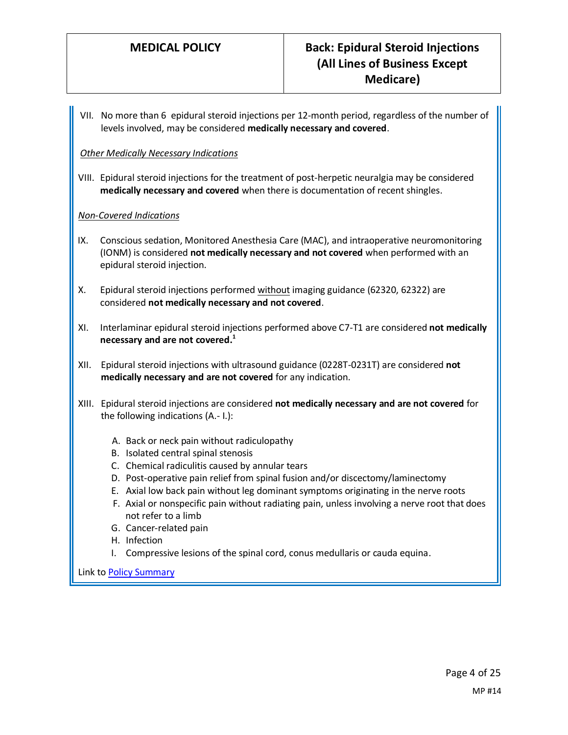VII. No more than 6 epidural steroid injections per 12-month period, regardless of the number of levels involved, may be considered **medically necessary and covered**.

#### *Other Medically Necessary Indications*

VIII. Epidural steroid injections for the treatment of post-herpetic neuralgia may be considered **medically necessary and covered** when there is documentation of recent shingles.

#### *Non-Covered Indications*

- IX. Conscious sedation, Monitored Anesthesia Care (MAC), and intraoperative neuromonitoring (IONM) is considered **not medically necessary and not covered** when performed with an epidural steroid injection.
- X. Epidural steroid injections performed without imaging guidance (62320, 62322) are considered **not medically necessary and not covered**.
- XI. Interlaminar epidural steroid injections performed above C7-T1 are considered **not medically necessary and are not covered. 1**
- XII. Epidural steroid injections with ultrasound guidance (0228T-0231T) are considered **not medically necessary and are not covered** for any indication.
- XIII. Epidural steroid injections are considered **not medically necessary and are not covered** for the following indications (A.- I.):
	- A. Back or neck pain without radiculopathy
	- B. Isolated central spinal stenosis
	- C. Chemical radiculitis caused by annular tears
	- D. Post-operative pain relief from spinal fusion and/or discectomy/laminectomy
	- E. Axial low back pain without leg dominant symptoms originating in the nerve roots
	- F. Axial or nonspecific pain without radiating pain, unless involving a nerve root that does not refer to a limb
	- G. Cancer-related pain
	- H. Infection
	- I. Compressive lesions of the spinal cord, conus medullaris or cauda equina.

Link to Policy Summary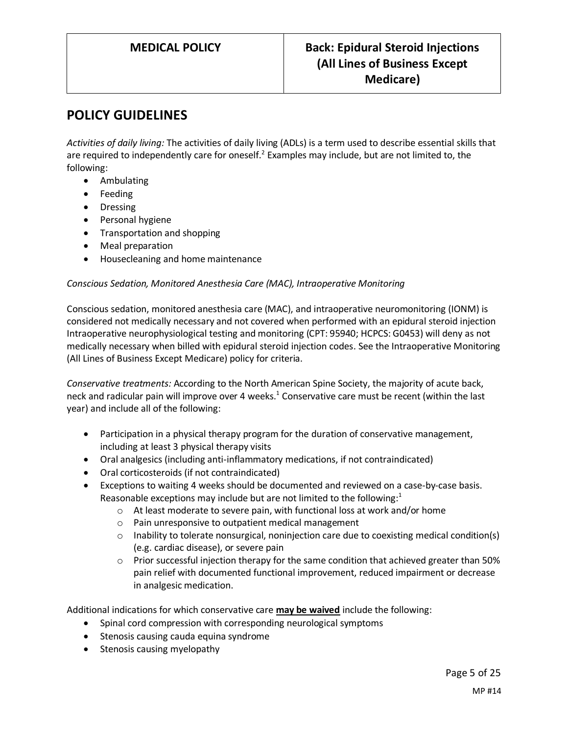## **POLICY GUIDELINES**

<span id="page-4-0"></span>*Activities of daily living:* The activities of daily living (ADLs) is a term used to describe essential skills that are required to independently care for oneself.<sup>2</sup> Examples may include, but are not limited to, the following:

- Ambulating
- Feeding
- Dressing
- Personal hygiene
- Transportation and shopping
- Meal preparation
- Housecleaning and home maintenance

#### *Conscious Sedation, Monitored Anesthesia Care (MAC), Intraoperative Monitoring*

Conscious sedation, monitored anesthesia care (MAC), and intraoperative neuromonitoring (IONM) is considered not medically necessary and not covered when performed with an epidural steroid injection Intraoperative neurophysiological testing and monitoring (CPT: 95940; HCPCS: G0453) will deny as not medically necessary when billed with epidural steroid injection codes. See the Intraoperative Monitoring (All Lines of Business Except Medicare) policy for criteria.

*Conservative treatments:* According to the North American Spine Society, the majority of acute back, neck and radicular pain will improve over 4 weeks.<sup>1</sup> Conservative care must be recent (within the last year) and include all of the following:

- Participation in a physical therapy program for the duration of conservative management, including at least 3 physical therapy visits
- Oral analgesics (including anti-inflammatory medications, if not contraindicated)
- Oral corticosteroids (if not contraindicated)
- Exceptions to waiting 4 weeks should be documented and reviewed on a case-by-case basis. Reasonable exceptions may include but are not limited to the following: $<sup>1</sup>$ </sup>
	- o At least moderate to severe pain, with functional loss at work and/or home
	- o Pain unresponsive to outpatient medical management
	- $\circ$  Inability to tolerate nonsurgical, noninjection care due to coexisting medical condition(s) (e.g. cardiac disease), or severe pain
	- $\circ$  Prior successful injection therapy for the same condition that achieved greater than 50% pain relief with documented functional improvement, reduced impairment or decrease in analgesic medication.

Additional indications for which conservative care **may be waived** include the following:

- Spinal cord compression with corresponding neurological symptoms
- Stenosis causing cauda equina syndrome
- Stenosis causing myelopathy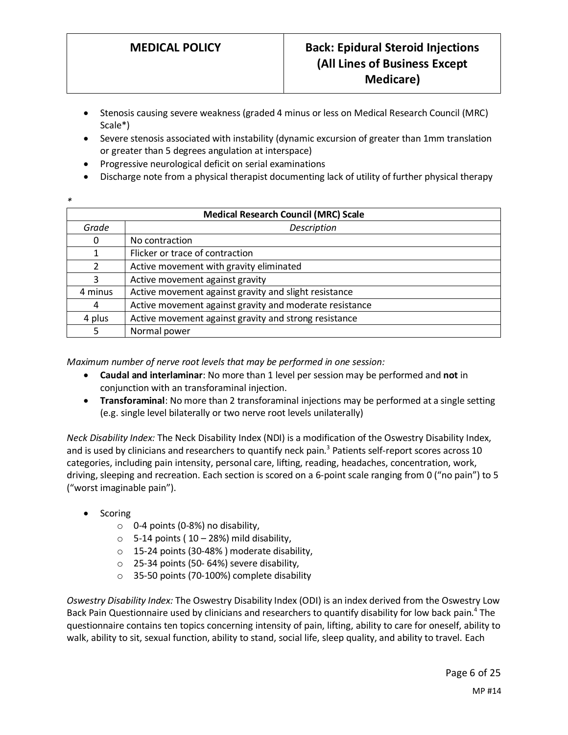- Stenosis causing severe weakness (graded 4 minus or less on Medical Research Council (MRC) Scale\*)
- Severe stenosis associated with instability (dynamic excursion of greater than 1mm translation or greater than 5 degrees angulation at interspace)
- Progressive neurological deficit on serial examinations
- Discharge note from a physical therapist documenting lack of utility of further physical therapy
- *\**

| <b>Medical Research Council (MRC) Scale</b> |                                                         |  |
|---------------------------------------------|---------------------------------------------------------|--|
| Grade                                       | Description                                             |  |
| 0                                           | No contraction                                          |  |
|                                             | Flicker or trace of contraction                         |  |
| $\overline{2}$                              | Active movement with gravity eliminated                 |  |
| 3                                           | Active movement against gravity                         |  |
| 4 minus                                     | Active movement against gravity and slight resistance   |  |
| 4                                           | Active movement against gravity and moderate resistance |  |
| 4 plus                                      | Active movement against gravity and strong resistance   |  |
| 5                                           | Normal power                                            |  |

<span id="page-5-0"></span>*Maximum number of nerve root levels that may be performed in one session:*

- **Caudal and interlaminar**: No more than 1 level per session may be performed and **not** in conjunction with an transforaminal injection.
- **Transforaminal**: No more than 2 transforaminal injections may be performed at a single setting (e.g. single level bilaterally or two nerve root levels unilaterally)

<span id="page-5-2"></span>*Neck Disability Index:* The Neck Disability Index (NDI) is a modification of the Oswestry Disability Index, and is used by clinicians and researchers to quantify neck pain.<sup>3</sup> Patients self-report scores across 10 categories, including pain intensity, personal care, lifting, reading, headaches, concentration, work, driving, sleeping and recreation. Each section is scored on a 6-point scale ranging from 0 ("no pain") to 5 ("worst imaginable pain").

- Scoring
	- $\circ$  0-4 points (0-8%) no disability,
	- $\circ$  5-14 points (10 28%) mild disability,
	- o 15-24 points (30-48% ) moderate disability,
	- o 25-34 points (50- 64%) severe disability,
	- o 35-50 points (70-100%) complete disability

<span id="page-5-1"></span>*Oswestry Disability Index:* The Oswestry Disability Index (ODI) is an index derived from the Oswestry Low Back Pain Questionnaire used by clinicians and researchers to quantify disability for low back pain.<sup>4</sup> The questionnaire contains ten topics concerning intensity of pain, lifting, ability to care for oneself, ability to walk, ability to sit, sexual function, ability to stand, social life, sleep quality, and ability to travel. Each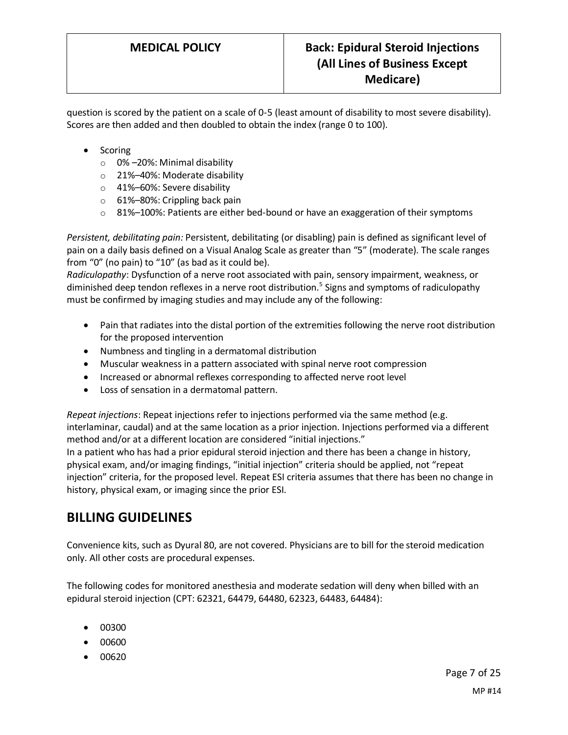question is scored by the patient on a scale of 0-5 (least amount of disability to most severe disability). Scores are then added and then doubled to obtain the index (range 0 to 100).

- Scoring
	- o 0% –20%: Minimal disability
	- o 21%–40%: Moderate disability
	- o 41%–60%: Severe disability
	- o 61%–80%: Crippling back pain
	- $\circ$  81%–100%: Patients are either bed-bound or have an exaggeration of their symptoms

<span id="page-6-0"></span>*Persistent, debilitating pain:* Persistent, debilitating (or disabling) pain is defined as significant level of pain on a daily basis defined on a Visual Analog Scale as greater than "5" (moderate). The scale ranges from "0" (no pain) to "10" (as bad as it could be).

*Radiculopathy*: Dysfunction of a nerve root associated with pain, sensory impairment, weakness, or diminished deep tendon reflexes in a nerve root distribution.<sup>5</sup> Signs and symptoms of radiculopathy must be confirmed by imaging studies and may include any of the following:

- Pain that radiates into the distal portion of the extremities following the nerve root distribution for the proposed intervention
- Numbness and tingling in a dermatomal distribution
- Muscular weakness in a pattern associated with spinal nerve root compression
- Increased or abnormal reflexes corresponding to affected nerve root level
- Loss of sensation in a dermatomal pattern.

<span id="page-6-1"></span>*Repeat injections*: Repeat injections refer to injections performed via the same method (e.g. interlaminar, caudal) and at the same location as a prior injection. Injections performed via a different method and/or at a different location are considered "initial injections."

In a patient who has had a prior epidural steroid injection and there has been a change in history, physical exam, and/or imaging findings, "initial injection" criteria should be applied, not "repeat injection" criteria, for the proposed level. Repeat ESI criteria assumes that there has been no change in history, physical exam, or imaging since the prior ESI.

## **BILLING GUIDELINES**

Convenience kits, such as Dyural 80, are not covered. Physicians are to bill for the steroid medication only. All other costs are procedural expenses.

The following codes for monitored anesthesia and moderate sedation will deny when billed with an epidural steroid injection (CPT: 62321, 64479, 64480, 62323, 64483, 64484):

- 00300
- 00600
- 00620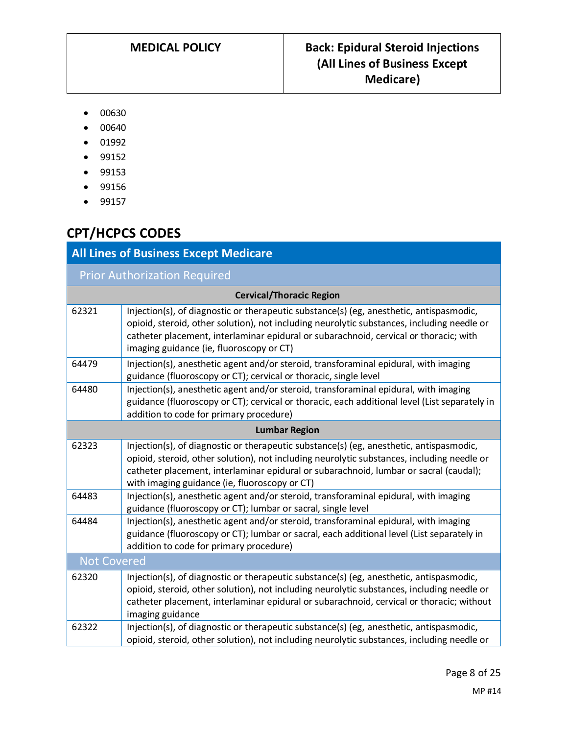- 00630
- 00640
- 01992
- 99152
- 99153
- 99156
- 99157

# **CPT/HCPCS CODES**

| <b>All Lines of Business Except Medicare</b> |                                                                                                                                                                                                                                                                                                                                 |  |
|----------------------------------------------|---------------------------------------------------------------------------------------------------------------------------------------------------------------------------------------------------------------------------------------------------------------------------------------------------------------------------------|--|
|                                              | <b>Prior Authorization Required</b>                                                                                                                                                                                                                                                                                             |  |
| <b>Cervical/Thoracic Region</b>              |                                                                                                                                                                                                                                                                                                                                 |  |
| 62321                                        | Injection(s), of diagnostic or therapeutic substance(s) (eg, anesthetic, antispasmodic,<br>opioid, steroid, other solution), not including neurolytic substances, including needle or<br>catheter placement, interlaminar epidural or subarachnoid, cervical or thoracic; with<br>imaging guidance (ie, fluoroscopy or CT)      |  |
| 64479                                        | Injection(s), anesthetic agent and/or steroid, transforaminal epidural, with imaging<br>guidance (fluoroscopy or CT); cervical or thoracic, single level                                                                                                                                                                        |  |
| 64480                                        | Injection(s), anesthetic agent and/or steroid, transforaminal epidural, with imaging<br>guidance (fluoroscopy or CT); cervical or thoracic, each additional level (List separately in<br>addition to code for primary procedure)                                                                                                |  |
| <b>Lumbar Region</b>                         |                                                                                                                                                                                                                                                                                                                                 |  |
| 62323                                        | Injection(s), of diagnostic or therapeutic substance(s) (eg, anesthetic, antispasmodic,<br>opioid, steroid, other solution), not including neurolytic substances, including needle or<br>catheter placement, interlaminar epidural or subarachnoid, lumbar or sacral (caudal);<br>with imaging guidance (ie, fluoroscopy or CT) |  |
| 64483                                        | Injection(s), anesthetic agent and/or steroid, transforaminal epidural, with imaging<br>guidance (fluoroscopy or CT); lumbar or sacral, single level                                                                                                                                                                            |  |
| 64484                                        | Injection(s), anesthetic agent and/or steroid, transforaminal epidural, with imaging<br>guidance (fluoroscopy or CT); lumbar or sacral, each additional level (List separately in<br>addition to code for primary procedure)                                                                                                    |  |
| <b>Not Covered</b>                           |                                                                                                                                                                                                                                                                                                                                 |  |
| 62320                                        | Injection(s), of diagnostic or therapeutic substance(s) (eg, anesthetic, antispasmodic,<br>opioid, steroid, other solution), not including neurolytic substances, including needle or<br>catheter placement, interlaminar epidural or subarachnoid, cervical or thoracic; without<br>imaging guidance                           |  |
| 62322                                        | Injection(s), of diagnostic or therapeutic substance(s) (eg, anesthetic, antispasmodic,<br>opioid, steroid, other solution), not including neurolytic substances, including needle or                                                                                                                                           |  |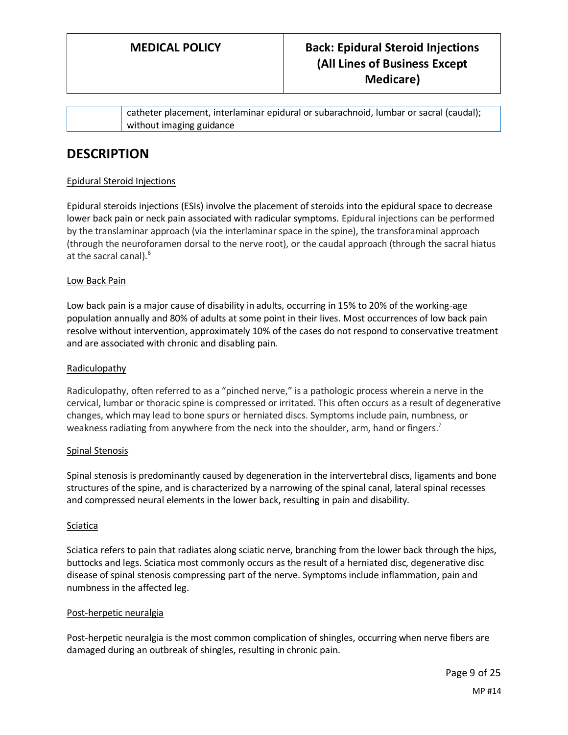catheter placement, interlaminar epidural or subarachnoid, lumbar or sacral (caudal); without imaging guidance

## **DESCRIPTION**

### Epidural Steroid Injections

Epidural steroids injections (ESIs) involve the placement of steroids into the epidural space to decrease lower back pain or neck pain associated with radicular symptoms. Epidural injections can be performed by the translaminar approach (via the interlaminar space in the spine), the transforaminal approach (through the neuroforamen dorsal to the nerve root), or the caudal approach (through the sacral hiatus at the sacral canal).<sup>6</sup>

#### Low Back Pain

Low back pain is a major cause of disability in adults, occurring in 15% to 20% of the working-age population annually and 80% of adults at some point in their lives. Most occurrences of low back pain resolve without intervention, approximately 10% of the cases do not respond to conservative treatment and are associated with chronic and disabling pain.

#### Radiculopathy

Radiculopathy, often referred to as a "pinched nerve," is a pathologic process wherein a nerve in the cervical, lumbar or thoracic spine is compressed or irritated. This often occurs as a result of degenerative changes, which may lead to bone spurs or herniated discs. Symptoms include pain, numbness, or weakness radiating from anywhere from the neck into the shoulder, arm, hand or fingers.<sup>7</sup>

#### Spinal Stenosis

Spinal stenosis is predominantly caused by degeneration in the intervertebral discs, ligaments and bone structures of the spine, and is characterized by a narrowing of the spinal canal, lateral spinal recesses and compressed neural elements in the lower back, resulting in pain and disability.

#### **Sciatica**

Sciatica refers to pain that radiates along sciatic nerve, branching from the lower back through the hips, buttocks and legs. Sciatica most commonly occurs as the result of a herniated disc, degenerative disc disease of spinal stenosis compressing part of the nerve. Symptoms include inflammation, pain and numbness in the affected leg.

#### Post-herpetic neuralgia

Post-herpetic neuralgia is the most common complication of shingles, occurring when nerve fibers are damaged during an outbreak of shingles, resulting in chronic pain.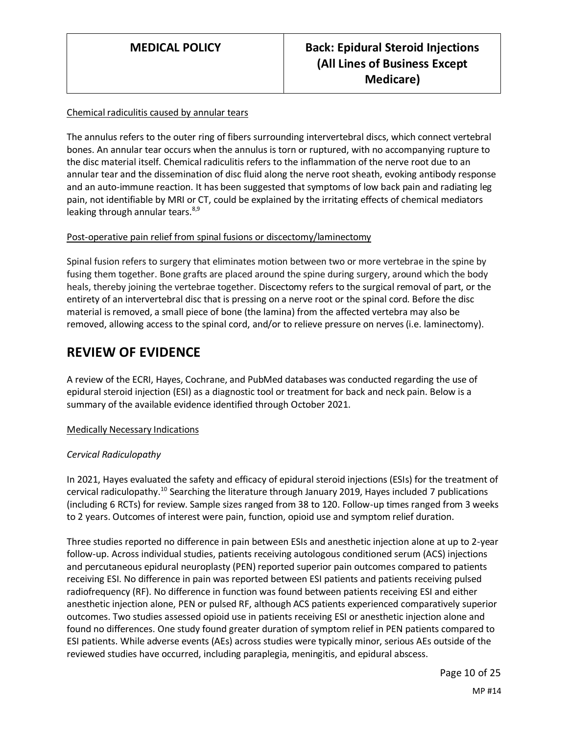#### Chemical radiculitis caused by annular tears

The annulus refers to the outer ring of fibers surrounding intervertebral discs, which connect vertebral bones. An annular tear occurs when the annulus is torn or ruptured, with no accompanying rupture to the disc material itself. Chemical radiculitis refers to the inflammation of the nerve root due to an annular tear and the dissemination of disc fluid along the nerve root sheath, evoking antibody response and an auto-immune reaction. It has been suggested that symptoms of low back pain and radiating leg pain, not identifiable by MRI or CT, could be explained by the irritating effects of chemical mediators leaking through annular tears. $8,9$ 

#### Post-operative pain relief from spinal fusions or discectomy/laminectomy

Spinal fusion refers to surgery that eliminates motion between two or more vertebrae in the spine by fusing them together. Bone grafts are placed around the spine during surgery, around which the body heals, thereby joining the vertebrae together. Discectomy refers to the surgical removal of part, or the entirety of an intervertebral disc that is pressing on a nerve root or the spinal cord. Before the disc material is removed, a small piece of bone (the lamina) from the affected vertebra may also be removed, allowing access to the spinal cord, and/or to relieve pressure on nerves (i.e. laminectomy).

### **REVIEW OF EVIDENCE**

A review of the ECRI, Hayes, Cochrane, and PubMed databases was conducted regarding the use of epidural steroid injection (ESI) as a diagnostic tool or treatment for back and neck pain. Below is a summary of the available evidence identified through October 2021.

#### Medically Necessary Indications

#### *Cervical Radiculopathy*

In 2021, Hayes evaluated the safety and efficacy of epidural steroid injections (ESIs) for the treatment of cervical radiculopathy.<sup>10</sup> Searching the literature through January 2019, Hayes included 7 publications (including 6 RCTs) for review. Sample sizes ranged from 38 to 120. Follow-up times ranged from 3 weeks to 2 years. Outcomes of interest were pain, function, opioid use and symptom relief duration.

Three studies reported no difference in pain between ESIs and anesthetic injection alone at up to 2-year follow-up. Across individual studies, patients receiving autologous conditioned serum (ACS) injections and percutaneous epidural neuroplasty (PEN) reported superior pain outcomes compared to patients receiving ESI. No difference in pain was reported between ESI patients and patients receiving pulsed radiofrequency (RF). No difference in function was found between patients receiving ESI and either anesthetic injection alone, PEN or pulsed RF, although ACS patients experienced comparatively superior outcomes. Two studies assessed opioid use in patients receiving ESI or anesthetic injection alone and found no differences. One study found greater duration of symptom relief in PEN patients compared to ESI patients. While adverse events (AEs) across studies were typically minor, serious AEs outside of the reviewed studies have occurred, including paraplegia, meningitis, and epidural abscess.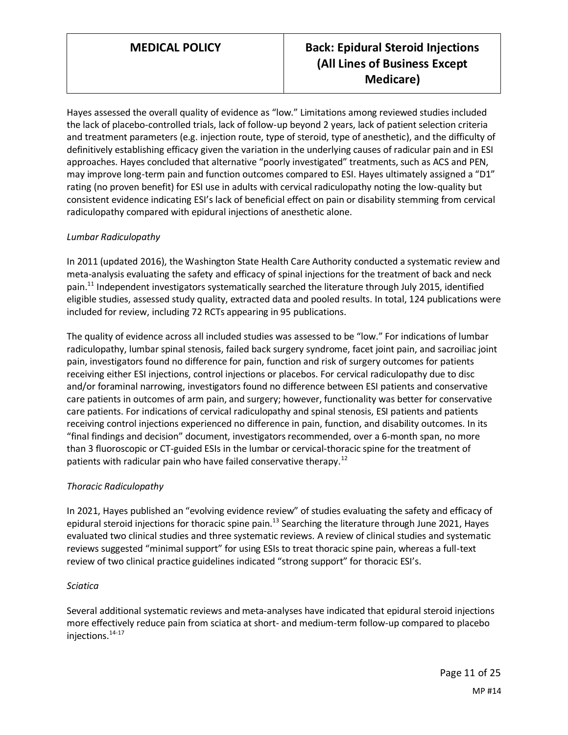Hayes assessed the overall quality of evidence as "low." Limitations among reviewed studies included the lack of placebo-controlled trials, lack of follow-up beyond 2 years, lack of patient selection criteria and treatment parameters (e.g. injection route, type of steroid, type of anesthetic), and the difficulty of definitively establishing efficacy given the variation in the underlying causes of radicular pain and in ESI approaches. Hayes concluded that alternative "poorly investigated" treatments, such as ACS and PEN, may improve long-term pain and function outcomes compared to ESI. Hayes ultimately assigned a "D1" rating (no proven benefit) for ESI use in adults with cervical radiculopathy noting the low-quality but consistent evidence indicating ESI's lack of beneficial effect on pain or disability stemming from cervical radiculopathy compared with epidural injections of anesthetic alone.

#### *Lumbar Radiculopathy*

In 2011 (updated 2016), the Washington State Health Care Authority conducted a systematic review and meta-analysis evaluating the safety and efficacy of spinal injections for the treatment of back and neck pain.<sup>11</sup> Independent investigators systematically searched the literature through July 2015, identified eligible studies, assessed study quality, extracted data and pooled results. In total, 124 publications were included for review, including 72 RCTs appearing in 95 publications.

The quality of evidence across all included studies was assessed to be "low." For indications of lumbar radiculopathy, lumbar spinal stenosis, failed back surgery syndrome, facet joint pain, and sacroiliac joint pain, investigators found no difference for pain, function and risk of surgery outcomes for patients receiving either ESI injections, control injections or placebos. For cervical radiculopathy due to disc and/or foraminal narrowing, investigators found no difference between ESI patients and conservative care patients in outcomes of arm pain, and surgery; however, functionality was better for conservative care patients. For indications of cervical radiculopathy and spinal stenosis, ESI patients and patients receiving control injections experienced no difference in pain, function, and disability outcomes. In its "final findings and decision" document, investigators recommended, over a 6-month span, no more than 3 fluoroscopic or CT-guided ESIs in the lumbar or cervical-thoracic spine for the treatment of patients with radicular pain who have failed conservative therapy.<sup>12</sup>

#### *Thoracic Radiculopathy*

In 2021, Hayes published an "evolving evidence review" of studies evaluating the safety and efficacy of epidural steroid injections for thoracic spine pain.<sup>13</sup> Searching the literature through June 2021, Hayes evaluated two clinical studies and three systematic reviews. A review of clinical studies and systematic reviews suggested "minimal support" for using ESIs to treat thoracic spine pain, whereas a full-text review of two clinical practice guidelines indicated "strong support" for thoracic ESI's.

#### *Sciatica*

Several additional systematic reviews and meta-analyses have indicated that epidural steroid injections more effectively reduce pain from sciatica at short- and medium-term follow-up compared to placebo injections.14-17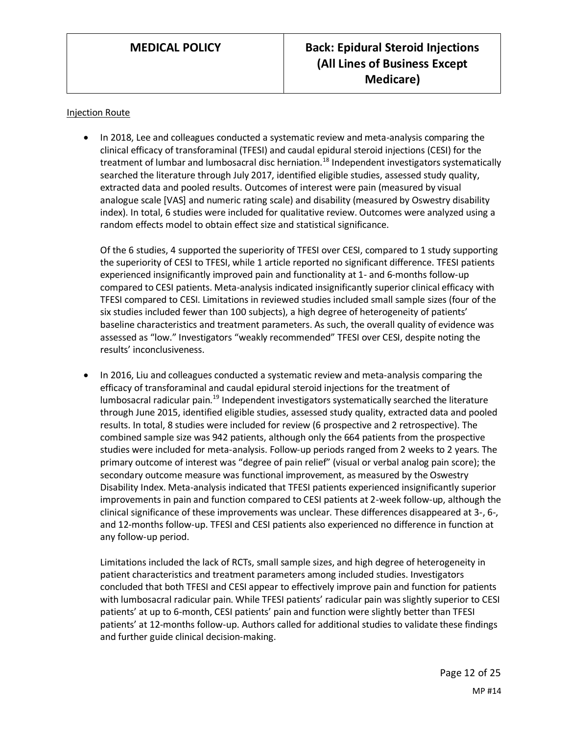#### Injection Route

• In 2018, Lee and colleagues conducted a systematic review and meta-analysis comparing the clinical efficacy of transforaminal (TFESI) and caudal epidural steroid injections (CESI) for the treatment of lumbar and lumbosacral disc herniation.<sup>18</sup> Independent investigators systematically searched the literature through July 2017, identified eligible studies, assessed study quality, extracted data and pooled results. Outcomes of interest were pain (measured by visual analogue scale [VAS] and numeric rating scale) and disability (measured by Oswestry disability index). In total, 6 studies were included for qualitative review. Outcomes were analyzed using a random effects model to obtain effect size and statistical significance.

Of the 6 studies, 4 supported the superiority of TFESI over CESI, compared to 1 study supporting the superiority of CESI to TFESI, while 1 article reported no significant difference. TFESI patients experienced insignificantly improved pain and functionality at 1- and 6-months follow-up compared to CESI patients. Meta-analysis indicated insignificantly superior clinical efficacy with TFESI compared to CESI. Limitations in reviewed studies included small sample sizes (four of the six studies included fewer than 100 subjects), a high degree of heterogeneity of patients' baseline characteristics and treatment parameters. As such, the overall quality of evidence was assessed as "low." Investigators "weakly recommended" TFESI over CESI, despite noting the results' inconclusiveness.

• In 2016, Liu and colleagues conducted a systematic review and meta-analysis comparing the efficacy of transforaminal and caudal epidural steroid injections for the treatment of lumbosacral radicular pain.<sup>19</sup> Independent investigators systematically searched the literature through June 2015, identified eligible studies, assessed study quality, extracted data and pooled results. In total, 8 studies were included for review (6 prospective and 2 retrospective). The combined sample size was 942 patients, although only the 664 patients from the prospective studies were included for meta-analysis. Follow-up periods ranged from 2 weeks to 2 years. The primary outcome of interest was "degree of pain relief" (visual or verbal analog pain score); the secondary outcome measure was functional improvement, as measured by the Oswestry Disability Index. Meta-analysis indicated that TFESI patients experienced insignificantly superior improvements in pain and function compared to CESI patients at 2-week follow-up, although the clinical significance of these improvements was unclear. These differences disappeared at 3-, 6-, and 12-months follow-up. TFESI and CESI patients also experienced no difference in function at any follow-up period.

Limitations included the lack of RCTs, small sample sizes, and high degree of heterogeneity in patient characteristics and treatment parameters among included studies. Investigators concluded that both TFESI and CESI appear to effectively improve pain and function for patients with lumbosacral radicular pain. While TFESI patients' radicular pain was slightly superior to CESI patients' at up to 6-month, CESI patients' pain and function were slightly better than TFESI patients' at 12-months follow-up. Authors called for additional studies to validate these findings and further guide clinical decision-making.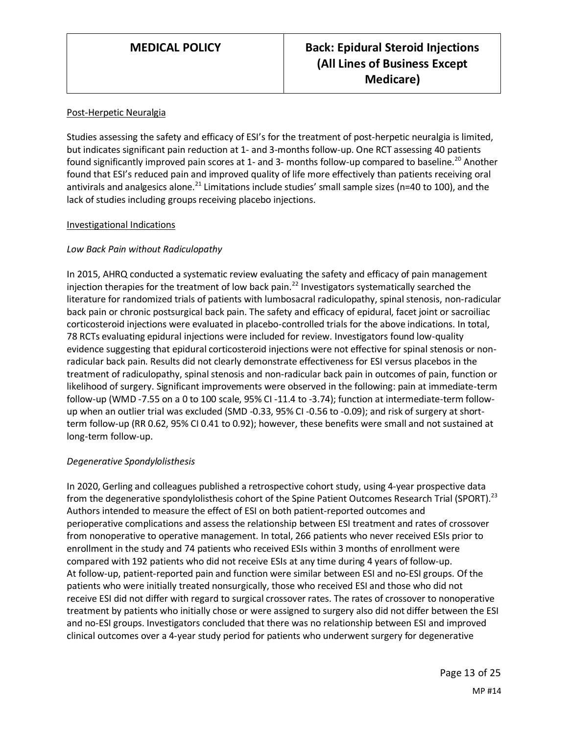#### Post-Herpetic Neuralgia

Studies assessing the safety and efficacy of ESI's for the treatment of post-herpetic neuralgia is limited, but indicates significant pain reduction at 1- and 3-months follow-up. One RCT assessing 40 patients found significantly improved pain scores at 1- and 3- months follow-up compared to baseline.<sup>20</sup> Another found that ESI's reduced pain and improved quality of life more effectively than patients receiving oral antivirals and analgesics alone.<sup>21</sup> Limitations include studies' small sample sizes (n=40 to 100), and the lack of studies including groups receiving placebo injections.

#### Investigational Indications

#### *Low Back Pain without Radiculopathy*

In 2015, AHRQ conducted a systematic review evaluating the safety and efficacy of pain management injection therapies for the treatment of low back pain.<sup>22</sup> Investigators systematically searched the literature for randomized trials of patients with lumbosacral radiculopathy, spinal stenosis, non-radicular back pain or chronic postsurgical back pain. The safety and efficacy of epidural, facet joint or sacroiliac corticosteroid injections were evaluated in placebo-controlled trials for the above indications. In total, 78 RCTs evaluating epidural injections were included for review. Investigators found low-quality evidence suggesting that epidural corticosteroid injections were not effective for spinal stenosis or nonradicular back pain. Results did not clearly demonstrate effectiveness for ESI versus placebos in the treatment of radiculopathy, spinal stenosis and non-radicular back pain in outcomes of pain, function or likelihood of surgery. Significant improvements were observed in the following: pain at immediate-term follow-up (WMD -7.55 on a 0 to 100 scale, 95% CI -11.4 to -3.74); function at intermediate-term followup when an outlier trial was excluded (SMD -0.33, 95% CI -0.56 to -0.09); and risk of surgery at shortterm follow-up (RR 0.62, 95% CI 0.41 to 0.92); however, these benefits were small and not sustained at long-term follow-up.

#### *Degenerative Spondylolisthesis*

In 2020, Gerling and colleagues published a retrospective cohort study, using 4-year prospective data from the degenerative spondylolisthesis cohort of the Spine Patient Outcomes Research Trial (SPORT).<sup>23</sup> Authors intended to measure the effect of ESI on both patient-reported outcomes and perioperative complications and assess the relationship between ESI treatment and rates of crossover from nonoperative to operative management. In total, 266 patients who never received ESIs prior to enrollment in the study and 74 patients who received ESIs within 3 months of enrollment were compared with 192 patients who did not receive ESIs at any time during 4 years of follow-up. At follow-up, patient-reported pain and function were similar between ESI and no-ESI groups. Of the patients who were initially treated nonsurgically, those who received ESI and those who did not receive ESI did not differ with regard to surgical crossover rates. The rates of crossover to nonoperative treatment by patients who initially chose or were assigned to surgery also did not differ between the ESI and no-ESI groups. Investigators concluded that there was no relationship between ESI and improved clinical outcomes over a 4-year study period for patients who underwent surgery for degenerative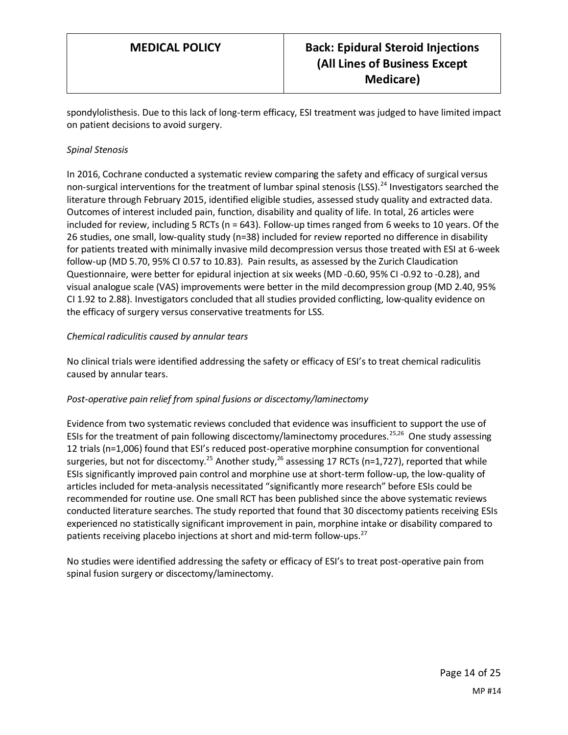spondylolisthesis. Due to this lack of long-term efficacy, ESI treatment was judged to have limited impact on patient decisions to avoid surgery.

#### *Spinal Stenosis*

In 2016, Cochrane conducted a systematic review comparing the safety and efficacy of surgical versus non-surgical interventions for the treatment of lumbar spinal stenosis (LSS).<sup>24</sup> Investigators searched the literature through February 2015, identified eligible studies, assessed study quality and extracted data. Outcomes of interest included pain, function, disability and quality of life. In total, 26 articles were included for review, including 5 RCTs (n = 643). Follow-up times ranged from 6 weeks to 10 years. Of the 26 studies, one small, low-quality study (n=38) included for review reported no difference in disability for patients treated with minimally invasive mild decompression versus those treated with ESI at 6-week follow-up (MD 5.70, 95% CI 0.57 to 10.83). Pain results, as assessed by the Zurich Claudication Questionnaire, were better for epidural injection at six weeks (MD ‐0.60, 95% CI ‐0.92 to ‐0.28), and visual analogue scale (VAS) improvements were better in the mild decompression group (MD 2.40, 95% CI 1.92 to 2.88). Investigators concluded that all studies provided conflicting, low-quality evidence on the efficacy of surgery versus conservative treatments for LSS.

#### *Chemical radiculitis caused by annular tears*

No clinical trials were identified addressing the safety or efficacy of ESI's to treat chemical radiculitis caused by annular tears.

#### *Post-operative pain relief from spinal fusions or discectomy/laminectomy*

Evidence from two systematic reviews concluded that evidence was insufficient to support the use of ESIs for the treatment of pain following discectomy/laminectomy procedures.<sup>25,26</sup> One study assessing 12 trials (n=1,006) found that ESI's reduced post-operative morphine consumption for conventional surgeries, but not for discectomy.<sup>25</sup> Another study,<sup>26</sup> assessing 17 RCTs (n=1,727), reported that while ESIs significantly improved pain control and morphine use at short-term follow-up, the low-quality of articles included for meta-analysis necessitated "significantly more research" before ESIs could be recommended for routine use. One small RCT has been published since the above systematic reviews conducted literature searches. The study reported that found that 30 discectomy patients receiving ESIs experienced no statistically significant improvement in pain, morphine intake or disability compared to patients receiving placebo injections at short and mid-term follow-ups.<sup>27</sup>

No studies were identified addressing the safety or efficacy of ESI's to treat post-operative pain from spinal fusion surgery or discectomy/laminectomy.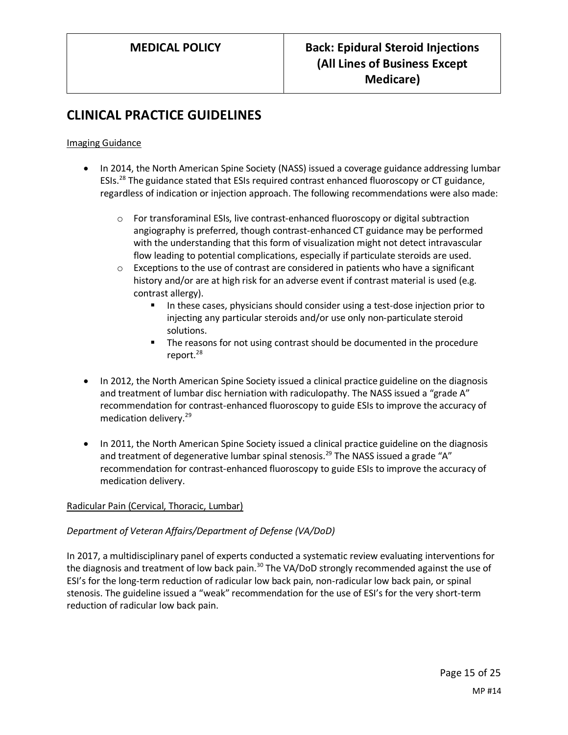## **CLINICAL PRACTICE GUIDELINES**

#### Imaging Guidance

- In 2014, the North American Spine Society (NASS) issued a coverage guidance addressing lumbar ESIs.<sup>28</sup> The guidance stated that ESIs required contrast enhanced fluoroscopy or CT guidance, regardless of indication or injection approach. The following recommendations were also made:
	- $\circ$  For transforaminal ESIs, live contrast-enhanced fluoroscopy or digital subtraction angiography is preferred, though contrast-enhanced CT guidance may be performed with the understanding that this form of visualization might not detect intravascular flow leading to potential complications, especially if particulate steroids are used.
	- $\circ$  Exceptions to the use of contrast are considered in patients who have a significant history and/or are at high risk for an adverse event if contrast material is used (e.g. contrast allergy).
		- In these cases, physicians should consider using a test-dose injection prior to injecting any particular steroids and/or use only non-particulate steroid solutions.
		- The reasons for not using contrast should be documented in the procedure report. $^{28}$
- In 2012, the North American Spine Society issued a clinical practice guideline on the diagnosis and treatment of lumbar disc herniation with radiculopathy. The NASS issued a "grade A" recommendation for contrast-enhanced fluoroscopy to guide ESIs to improve the accuracy of medication delivery.<sup>29</sup>
- In 2011, the North American Spine Society issued a clinical practice guideline on the diagnosis and treatment of degenerative lumbar spinal stenosis.<sup>29</sup> The NASS issued a grade "A" recommendation for contrast-enhanced fluoroscopy to guide ESIs to improve the accuracy of medication delivery.

#### Radicular Pain (Cervical, Thoracic, Lumbar)

#### *Department of Veteran Affairs/Department of Defense (VA/DoD)*

In 2017, a multidisciplinary panel of experts conducted a systematic review evaluating interventions for the diagnosis and treatment of low back pain.<sup>30</sup> The VA/DoD strongly recommended against the use of ESI's for the long-term reduction of radicular low back pain, non-radicular low back pain, or spinal stenosis. The guideline issued a "weak" recommendation for the use of ESI's for the very short-term reduction of radicular low back pain.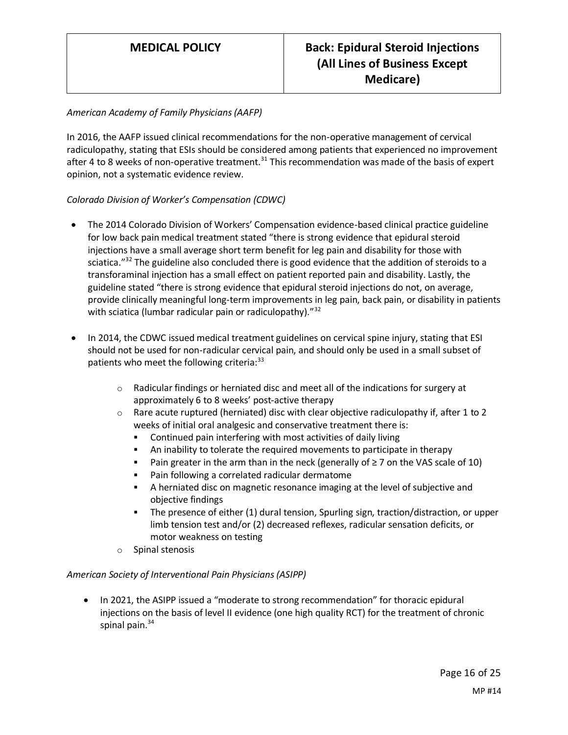### *American Academy of Family Physicians (AAFP)*

In 2016, the AAFP issued clinical recommendations for the non-operative management of cervical radiculopathy, stating that ESIs should be considered among patients that experienced no improvement after 4 to 8 weeks of non-operative treatment.<sup>31</sup> This recommendation was made of the basis of expert opinion, not a systematic evidence review.

#### *Colorado Division of Worker's Compensation (CDWC)*

- The 2014 Colorado Division of Workers' Compensation evidence-based clinical practice guideline for low back pain medical treatment stated "there is strong evidence that epidural steroid injections have a small average short term benefit for leg pain and disability for those with sciatica."<sup>32</sup> The guideline also concluded there is good evidence that the addition of steroids to a transforaminal injection has a small effect on patient reported pain and disability. Lastly, the guideline stated "there is strong evidence that epidural steroid injections do not, on average, provide clinically meaningful long-term improvements in leg pain, back pain, or disability in patients with sciatica (lumbar radicular pain or radiculopathy)."<sup>32</sup>
- In 2014, the CDWC issued medical treatment guidelines on cervical spine injury, stating that ESI should not be used for non-radicular cervical pain, and should only be used in a small subset of patients who meet the following criteria:<sup>33</sup>
	- $\circ$  Radicular findings or herniated disc and meet all of the indications for surgery at approximately 6 to 8 weeks' post-active therapy
	- $\circ$  Rare acute ruptured (herniated) disc with clear objective radiculopathy if, after 1 to 2 weeks of initial oral analgesic and conservative treatment there is:
		- Continued pain interfering with most activities of daily living
		- **EXED** An inability to tolerate the required movements to participate in therapy
		- Pain greater in the arm than in the neck (generally of  $\geq$  7 on the VAS scale of 10)
		- Pain following a correlated radicular dermatome
		- A herniated disc on magnetic resonance imaging at the level of subjective and objective findings
		- The presence of either (1) dural tension, Spurling sign, traction/distraction, or upper limb tension test and/or (2) decreased reflexes, radicular sensation deficits, or motor weakness on testing
	- o Spinal stenosis

#### *American Society of Interventional Pain Physicians (ASIPP)*

• In 2021, the ASIPP issued a "moderate to strong recommendation" for thoracic epidural injections on the basis of level II evidence (one high quality RCT) for the treatment of chronic spinal pain. $34$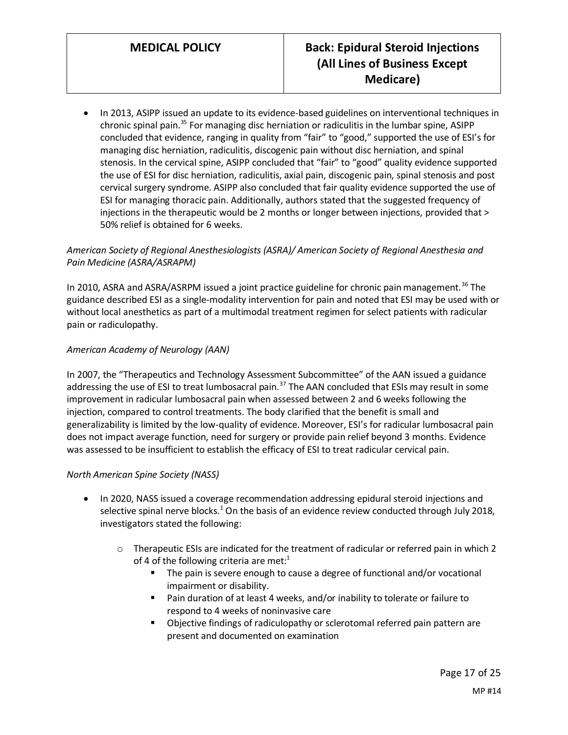• In 2013, ASIPP issued an update to its evidence-based guidelines on interventional techniques in chronic spinal pain. $35$  For managing disc herniation or radiculitis in the lumbar spine, ASIPP concluded that evidence, ranging in quality from "fair" to "good," supported the use of ESI's for managing disc herniation, radiculitis, discogenic pain without disc herniation, and spinal stenosis. In the cervical spine, ASIPP concluded that "fair" to "good" quality evidence supported the use of ESI for disc herniation, radiculitis, axial pain, discogenic pain, spinal stenosis and post cervical surgery syndrome. ASIPP also concluded that fair quality evidence supported the use of ESI for managing thoracic pain. Additionally, authors stated that the suggested frequency of injections in the therapeutic would be 2 months or longer between injections, provided that > 50% relief is obtained for 6 weeks.

### *American Society of Regional Anesthesiologists (ASRA)/ American Society of Regional Anesthesia and Pain Medicine (ASRA/ASRAPM)*

In 2010, ASRA and ASRA/ASRPM issued a joint practice guideline for chronic pain management.<sup>36</sup> The guidance described ESI as a single-modality intervention for pain and noted that ESI may be used with or without local anesthetics as part of a multimodal treatment regimen for select patients with radicular pain or radiculopathy.

### *American Academy of Neurology (AAN)*

In 2007, the "Therapeutics and Technology Assessment Subcommittee" of the AAN issued a guidance addressing the use of ESI to treat lumbosacral pain.<sup>37</sup> The AAN concluded that ESIs may result in some improvement in radicular lumbosacral pain when assessed between 2 and 6 weeks following the injection, compared to control treatments. The body clarified that the benefit is small and generalizability is limited by the low-quality of evidence. Moreover, ESI's for radicular lumbosacral pain does not impact average function, need for surgery or provide pain relief beyond 3 months. Evidence was assessed to be insufficient to establish the efficacy of ESI to treat radicular cervical pain.

#### *North American Spine Society (NASS)*

- In 2020, NASS issued a coverage recommendation addressing epidural steroid injections and selective spinal nerve blocks.<sup>1</sup> On the basis of an evidence review conducted through July 2018, investigators stated the following:
	- $\circ$  Therapeutic ESIs are indicated for the treatment of radicular or referred pain in which 2 of 4 of the following criteria are met: $1$ 
		- The pain is severe enough to cause a degree of functional and/or vocational impairment or disability.
		- Pain duration of at least 4 weeks, and/or inability to tolerate or failure to respond to 4 weeks of noninvasive care
		- Objective findings of radiculopathy or sclerotomal referred pain pattern are present and documented on examination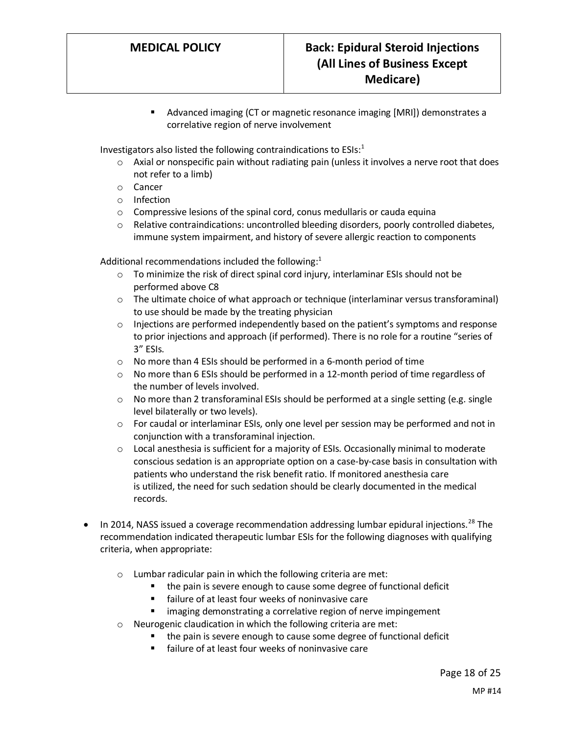■ Advanced imaging (CT or magnetic resonance imaging [MRI]) demonstrates a correlative region of nerve involvement

Investigators also listed the following contraindications to  $ESIs<sup>1</sup>$ 

- $\circ$  Axial or nonspecific pain without radiating pain (unless it involves a nerve root that does not refer to a limb)
- o Cancer
- o Infection
- o Compressive lesions of the spinal cord, conus medullaris or cauda equina
- $\circ$  Relative contraindications: uncontrolled bleeding disorders, poorly controlled diabetes, immune system impairment, and history of severe allergic reaction to components

Additional recommendations included the following: $<sup>1</sup>$ </sup>

- $\circ$  To minimize the risk of direct spinal cord injury, interlaminar ESIs should not be performed above C8
- $\circ$  The ultimate choice of what approach or technique (interlaminar versus transforaminal) to use should be made by the treating physician
- $\circ$  Injections are performed independently based on the patient's symptoms and response to prior injections and approach (if performed). There is no role for a routine "series of 3" ESIs.
- o No more than 4 ESIs should be performed in a 6-month period of time
- $\circ$  No more than 6 ESIs should be performed in a 12-month period of time regardless of the number of levels involved.
- $\circ$  No more than 2 transforaminal ESIs should be performed at a single setting (e.g. single level bilaterally or two levels).
- o For caudal or interlaminar ESIs, only one level per session may be performed and not in conjunction with a transforaminal injection.
- $\circ$  Local anesthesia is sufficient for a majority of ESIs. Occasionally minimal to moderate conscious sedation is an appropriate option on a case-by-case basis in consultation with patients who understand the risk benefit ratio. If monitored anesthesia care is utilized, the need for such sedation should be clearly documented in the medical records.
- In 2014, NASS issued a coverage recommendation addressing lumbar epidural injections.<sup>28</sup> The recommendation indicated therapeutic lumbar ESIs for the following diagnoses with qualifying criteria, when appropriate:
	- o Lumbar radicular pain in which the following criteria are met:
		- the pain is severe enough to cause some degree of functional deficit
		- failure of at least four weeks of noninvasive care
		- imaging demonstrating a correlative region of nerve impingement
	- o Neurogenic claudication in which the following criteria are met:
		- the pain is severe enough to cause some degree of functional deficit
		- failure of at least four weeks of noninvasive care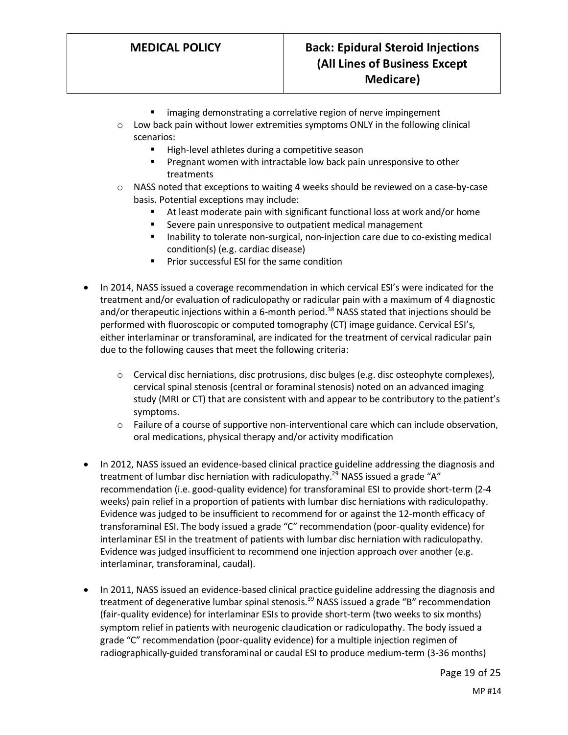- imaging demonstrating a correlative region of nerve impingement
- $\circ$  Low back pain without lower extremities symptoms ONLY in the following clinical scenarios:
	- High-level athletes during a competitive season
	- **•** Pregnant women with intractable low back pain unresponsive to other treatments
- $\circ$  NASS noted that exceptions to waiting 4 weeks should be reviewed on a case-by-case basis. Potential exceptions may include:
	- At least moderate pain with significant functional loss at work and/or home
	- Severe pain unresponsive to outpatient medical management
	- Inability to tolerate non-surgical, non-injection care due to co-existing medical condition(s) (e.g. cardiac disease)
	- Prior successful ESI for the same condition
- In 2014, NASS issued a coverage recommendation in which cervical ESI's were indicated for the treatment and/or evaluation of radiculopathy or radicular pain with a maximum of 4 diagnostic and/or therapeutic injections within a 6-month period.<sup>38</sup> NASS stated that injections should be performed with fluoroscopic or computed tomography (CT) image guidance. Cervical ESI's, either interlaminar or transforaminal, are indicated for the treatment of cervical radicular pain due to the following causes that meet the following criteria:
	- $\circ$  Cervical disc herniations, disc protrusions, disc bulges (e.g. disc osteophyte complexes), cervical spinal stenosis (central or foraminal stenosis) noted on an advanced imaging study (MRI or CT) that are consistent with and appear to be contributory to the patient's symptoms.
	- $\circ$  Failure of a course of supportive non-interventional care which can include observation, oral medications, physical therapy and/or activity modification
- In 2012, NASS issued an evidence-based clinical practice guideline addressing the diagnosis and treatment of lumbar disc herniation with radiculopathy.<sup>29</sup> NASS issued a grade "A" recommendation (i.e. good-quality evidence) for transforaminal ESI to provide short-term (2-4 weeks) pain relief in a proportion of patients with lumbar disc herniations with radiculopathy. Evidence was judged to be insufficient to recommend for or against the 12-month efficacy of transforaminal ESI. The body issued a grade "C" recommendation (poor-quality evidence) for interlaminar ESI in the treatment of patients with lumbar disc herniation with radiculopathy. Evidence was judged insufficient to recommend one injection approach over another (e.g. interlaminar, transforaminal, caudal).
- In 2011, NASS issued an evidence-based clinical practice guideline addressing the diagnosis and treatment of degenerative lumbar spinal stenosis.<sup>39</sup> NASS issued a grade "B" recommendation (fair-quality evidence) for interlaminar ESIs to provide short-term (two weeks to six months) symptom relief in patients with neurogenic claudication or radiculopathy. The body issued a grade "C" recommendation (poor-quality evidence) for a multiple injection regimen of radiographically-guided transforaminal or caudal ESI to produce medium-term (3-36 months)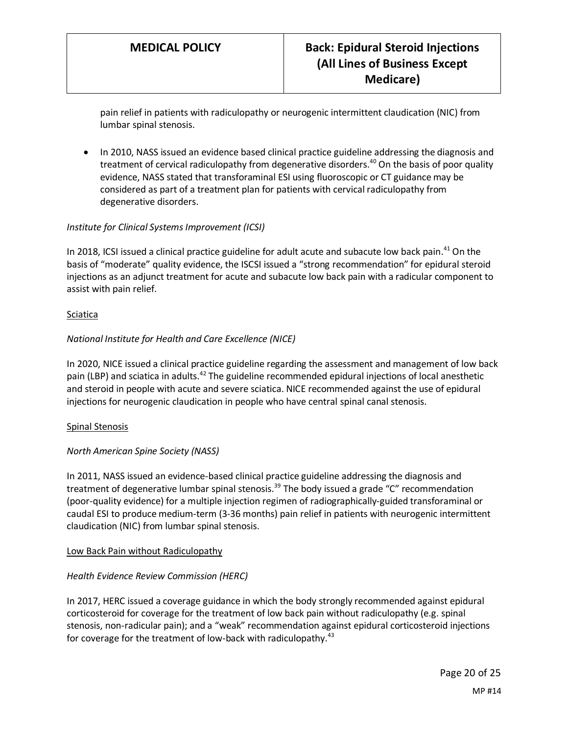pain relief in patients with radiculopathy or neurogenic intermittent claudication (NIC) from lumbar spinal stenosis.

• In 2010, NASS issued an evidence based clinical practice guideline addressing the diagnosis and treatment of cervical radiculopathy from degenerative disorders.<sup>40</sup> On the basis of poor quality evidence, NASS stated that transforaminal ESI using fluoroscopic or CT guidance may be considered as part of a treatment plan for patients with cervical radiculopathy from degenerative disorders.

### *Institute for Clinical Systems Improvement (ICSI)*

In 2018, ICSI issued a clinical practice guideline for adult acute and subacute low back pain.<sup>41</sup> On the basis of "moderate" quality evidence, the ISCSI issued a "strong recommendation" for epidural steroid injections as an adjunct treatment for acute and subacute low back pain with a radicular component to assist with pain relief.

#### Sciatica

#### *National Institute for Health and Care Excellence (NICE)*

In 2020, NICE issued a clinical practice guideline regarding the assessment and management of low back pain (LBP) and sciatica in adults.<sup>42</sup> The guideline recommended epidural injections of local anesthetic and steroid in people with acute and severe sciatica. NICE recommended against the use of epidural injections for neurogenic claudication in people who have central spinal canal stenosis.

#### Spinal Stenosis

#### *North American Spine Society (NASS)*

In 2011, NASS issued an evidence-based clinical practice guideline addressing the diagnosis and treatment of degenerative lumbar spinal stenosis.<sup>39</sup> The body issued a grade "C" recommendation (poor-quality evidence) for a multiple injection regimen of radiographically-guided transforaminal or caudal ESI to produce medium-term (3-36 months) pain relief in patients with neurogenic intermittent claudication (NIC) from lumbar spinal stenosis.

#### Low Back Pain without Radiculopathy

#### *Health Evidence Review Commission (HERC)*

In 2017, HERC issued a coverage guidance in which the body strongly recommended against epidural corticosteroid for coverage for the treatment of low back pain without radiculopathy (e.g. spinal stenosis, non-radicular pain); and a "weak" recommendation against epidural corticosteroid injections for coverage for the treatment of low-back with radiculopathy.<sup>43</sup>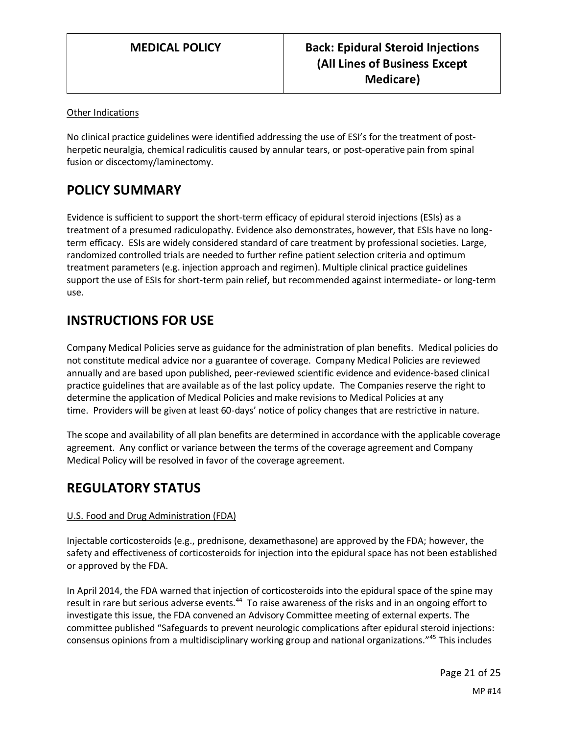### Other Indications

No clinical practice guidelines were identified addressing the use of ESI's for the treatment of postherpetic neuralgia, chemical radiculitis caused by annular tears, or post-operative pain from spinal fusion or discectomy/laminectomy.

## **POLICY SUMMARY**

Evidence is sufficient to support the short-term efficacy of epidural steroid injections (ESIs) as a treatment of a presumed radiculopathy. Evidence also demonstrates, however, that ESIs have no longterm efficacy. ESIs are widely considered standard of care treatment by professional societies. Large, randomized controlled trials are needed to further refine patient selection criteria and optimum treatment parameters (e.g. injection approach and regimen). Multiple clinical practice guidelines support the use of ESIs for short-term pain relief, but recommended against intermediate- or long-term use.

## **INSTRUCTIONS FOR USE**

Company Medical Policies serve as guidance for the administration of plan benefits. Medical policies do not constitute medical advice nor a guarantee of coverage. Company Medical Policies are reviewed annually and are based upon published, peer-reviewed scientific evidence and evidence-based clinical practice guidelines that are available as of the last policy update. The Companies reserve the right to determine the application of Medical Policies and make revisions to Medical Policies at any time. Providers will be given at least 60-days' notice of policy changes that are restrictive in nature.

The scope and availability of all plan benefits are determined in accordance with the applicable coverage agreement. Any conflict or variance between the terms of the coverage agreement and Company Medical Policy will be resolved in favor of the coverage agreement.

## **REGULATORY STATUS**

#### U.S. Food and Drug Administration (FDA)

Injectable corticosteroids (e.g., prednisone, dexamethasone) are approved by the FDA; however, the safety and effectiveness of corticosteroids for injection into the epidural space has not been established or approved by the FDA.

In April 2014, the FDA warned that injection of corticosteroids into the epidural space of the spine may result in rare but serious adverse events.<sup>44</sup> To raise awareness of the risks and in an ongoing effort to investigate this issue, the FDA convened an Advisory Committee meeting of external experts. The committee published "Safeguards to prevent neurologic complications after epidural steroid injections: consensus opinions from a multidisciplinary working group and national organizations."<sup>45</sup> This includes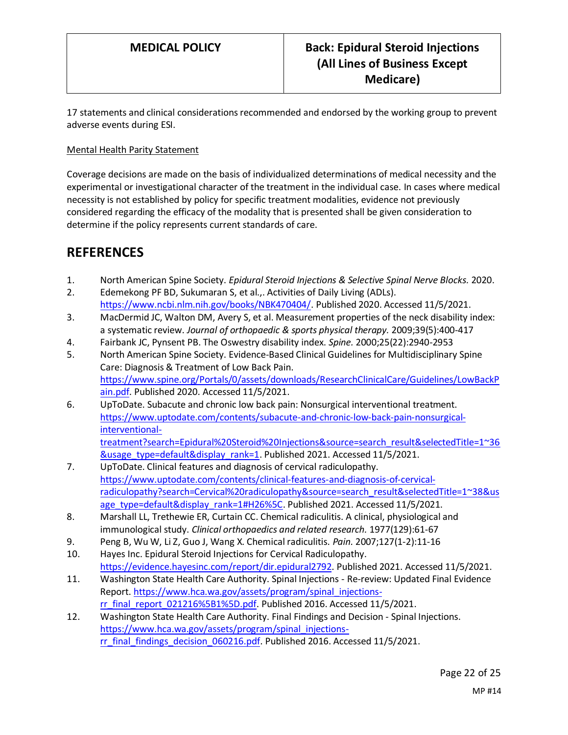17 statements and clinical considerations recommended and endorsed by the working group to prevent adverse events during ESI.

### Mental Health Parity Statement

Coverage decisions are made on the basis of individualized determinations of medical necessity and the experimental or investigational character of the treatment in the individual case. In cases where medical necessity is not established by policy for specific treatment modalities, evidence not previously considered regarding the efficacy of the modality that is presented shall be given consideration to determine if the policy represents current standards of care.

## **REFERENCES**

- 1. North American Spine Society. *Epidural Steroid Injections & Selective Spinal Nerve Blocks.* 2020.
- 2. Edemekong PF BD, Sukumaran S, et al.,. Activities of Daily Living (ADLs). [https://www.ncbi.nlm.nih.gov/books/NBK470404/.](https://www.ncbi.nlm.nih.gov/books/NBK470404/) Published 2020. Accessed 11/5/2021.
- 3. MacDermid JC, Walton DM, Avery S, et al. Measurement properties of the neck disability index: a systematic review. *Journal of orthopaedic & sports physical therapy.* 2009;39(5):400-417
- 4. Fairbank JC, Pynsent PB. The Oswestry disability index. *Spine.* 2000;25(22):2940-2953
- 5. North American Spine Society. Evidence-Based Clinical Guidelines for Multidisciplinary Spine Care: Diagnosis & Treatment of Low Back Pain. [https://www.spine.org/Portals/0/assets/downloads/ResearchClinicalCare/Guidelines/LowBackP](https://www.spine.org/Portals/0/assets/downloads/ResearchClinicalCare/Guidelines/LowBackPain.pdf) [ain.pdf.](https://www.spine.org/Portals/0/assets/downloads/ResearchClinicalCare/Guidelines/LowBackPain.pdf) Published 2020. Accessed 11/5/2021.
- 6. UpToDate. Subacute and chronic low back pain: Nonsurgical interventional treatment. [https://www.uptodate.com/contents/subacute-and-chronic-low-back-pain-nonsurgical](https://www.uptodate.com/contents/subacute-and-chronic-low-back-pain-nonsurgical-interventional-treatment?search=Epidural%20Steroid%20Injections&source=search_result&selectedTitle=1~36&usage_type=default&display_rank=1)[interventional](https://www.uptodate.com/contents/subacute-and-chronic-low-back-pain-nonsurgical-interventional-treatment?search=Epidural%20Steroid%20Injections&source=search_result&selectedTitle=1~36&usage_type=default&display_rank=1)[treatment?search=Epidural%20Steroid%20Injections&source=search\\_result&selectedTitle=1~36](https://www.uptodate.com/contents/subacute-and-chronic-low-back-pain-nonsurgical-interventional-treatment?search=Epidural%20Steroid%20Injections&source=search_result&selectedTitle=1~36&usage_type=default&display_rank=1)
- [&usage\\_type=default&display\\_rank=1.](https://www.uptodate.com/contents/subacute-and-chronic-low-back-pain-nonsurgical-interventional-treatment?search=Epidural%20Steroid%20Injections&source=search_result&selectedTitle=1~36&usage_type=default&display_rank=1) Published 2021. Accessed 11/5/2021. 7. UpToDate. Clinical features and diagnosis of cervical radiculopathy. [https://www.uptodate.com/contents/clinical-features-and-diagnosis-of-cervical](https://www.uptodate.com/contents/clinical-features-and-diagnosis-of-cervical-radiculopathy?search=Cervical%20radiculopathy&source=search_result&selectedTitle=1~38&usage_type=default&display_rank=1#H26%5C)[radiculopathy?search=Cervical%20radiculopathy&source=search\\_result&selectedTitle=1~38&us](https://www.uptodate.com/contents/clinical-features-and-diagnosis-of-cervical-radiculopathy?search=Cervical%20radiculopathy&source=search_result&selectedTitle=1~38&usage_type=default&display_rank=1#H26%5C) [age\\_type=default&display\\_rank=1#H26%5C.](https://www.uptodate.com/contents/clinical-features-and-diagnosis-of-cervical-radiculopathy?search=Cervical%20radiculopathy&source=search_result&selectedTitle=1~38&usage_type=default&display_rank=1#H26%5C) Published 2021. Accessed 11/5/2021.
- 8. Marshall LL, Trethewie ER, Curtain CC. Chemical radiculitis. A clinical, physiological and immunological study. *Clinical orthopaedics and related research.* 1977(129):61-67
- 9. Peng B, Wu W, Li Z, Guo J, Wang X. Chemical radiculitis. *Pain.* 2007;127(1-2):11-16
- 10. Hayes Inc. Epidural Steroid Injections for Cervical Radiculopathy. [https://evidence.hayesinc.com/report/dir.epidural2792.](https://evidence.hayesinc.com/report/dir.epidural2792) Published 2021. Accessed 11/5/2021.
- 11. Washington State Health Care Authority. Spinal Injections Re-review: Updated Final Evidence Report. [https://www.hca.wa.gov/assets/program/spinal\\_injections](https://www.hca.wa.gov/assets/program/spinal_injections-rr_final_report_021216%5B1%5D.pdf)[rr\\_final\\_report\\_021216%5B1%5D.pdf.](https://www.hca.wa.gov/assets/program/spinal_injections-rr_final_report_021216%5B1%5D.pdf) Published 2016. Accessed 11/5/2021.
- 12. Washington State Health Care Authority. Final Findings and Decision Spinal Injections. [https://www.hca.wa.gov/assets/program/spinal\\_injections](https://www.hca.wa.gov/assets/program/spinal_injections-rr_final_findings_decision_060216.pdf)[rr\\_final\\_findings\\_decision\\_060216.pdf.](https://www.hca.wa.gov/assets/program/spinal_injections-rr_final_findings_decision_060216.pdf) Published 2016. Accessed 11/5/2021.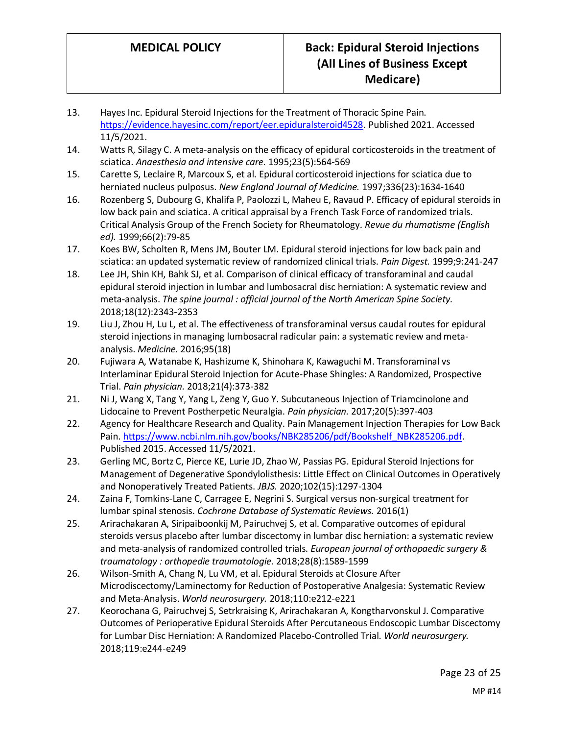- 13. Hayes Inc. Epidural Steroid Injections for the Treatment of Thoracic Spine Pain. [https://evidence.hayesinc.com/report/eer.epiduralsteroid4528.](https://evidence.hayesinc.com/report/eer.epiduralsteroid4528) Published 2021. Accessed 11/5/2021.
- 14. Watts R, Silagy C. A meta-analysis on the efficacy of epidural corticosteroids in the treatment of sciatica. *Anaesthesia and intensive care.* 1995;23(5):564-569
- 15. Carette S, Leclaire R, Marcoux S, et al. Epidural corticosteroid injections for sciatica due to herniated nucleus pulposus. *New England Journal of Medicine.* 1997;336(23):1634-1640
- 16. Rozenberg S, Dubourg G, Khalifa P, Paolozzi L, Maheu E, Ravaud P. Efficacy of epidural steroids in low back pain and sciatica. A critical appraisal by a French Task Force of randomized trials. Critical Analysis Group of the French Society for Rheumatology. *Revue du rhumatisme (English ed).* 1999;66(2):79-85
- 17. Koes BW, Scholten R, Mens JM, Bouter LM. Epidural steroid injections for low back pain and sciatica: an updated systematic review of randomized clinical trials. *Pain Digest.* 1999;9:241-247
- 18. Lee JH, Shin KH, Bahk SJ, et al. Comparison of clinical efficacy of transforaminal and caudal epidural steroid injection in lumbar and lumbosacral disc herniation: A systematic review and meta-analysis. *The spine journal : official journal of the North American Spine Society.*  2018;18(12):2343-2353
- 19. Liu J, Zhou H, Lu L, et al. The effectiveness of transforaminal versus caudal routes for epidural steroid injections in managing lumbosacral radicular pain: a systematic review and metaanalysis. *Medicine.* 2016;95(18)
- 20. Fujiwara A, Watanabe K, Hashizume K, Shinohara K, Kawaguchi M. Transforaminal vs Interlaminar Epidural Steroid Injection for Acute-Phase Shingles: A Randomized, Prospective Trial. *Pain physician.* 2018;21(4):373-382
- 21. Ni J, Wang X, Tang Y, Yang L, Zeng Y, Guo Y. Subcutaneous Injection of Triamcinolone and Lidocaine to Prevent Postherpetic Neuralgia. *Pain physician.* 2017;20(5):397-403
- 22. Agency for Healthcare Research and Quality. Pain Management Injection Therapies for Low Back Pain[. https://www.ncbi.nlm.nih.gov/books/NBK285206/pdf/Bookshelf\\_NBK285206.pdf.](https://www.ncbi.nlm.nih.gov/books/NBK285206/pdf/Bookshelf_NBK285206.pdf) Published 2015. Accessed 11/5/2021.
- 23. Gerling MC, Bortz C, Pierce KE, Lurie JD, Zhao W, Passias PG. Epidural Steroid Injections for Management of Degenerative Spondylolisthesis: Little Effect on Clinical Outcomes in Operatively and Nonoperatively Treated Patients. *JBJS.* 2020;102(15):1297-1304
- 24. Zaina F, Tomkins-Lane C, Carragee E, Negrini S. Surgical versus non-surgical treatment for lumbar spinal stenosis. *Cochrane Database of Systematic Reviews.* 2016(1)
- 25. Arirachakaran A, Siripaiboonkij M, Pairuchvej S, et al. Comparative outcomes of epidural steroids versus placebo after lumbar discectomy in lumbar disc herniation: a systematic review and meta-analysis of randomized controlled trials. *European journal of orthopaedic surgery & traumatology : orthopedie traumatologie.* 2018;28(8):1589-1599
- 26. Wilson-Smith A, Chang N, Lu VM, et al. Epidural Steroids at Closure After Microdiscectomy/Laminectomy for Reduction of Postoperative Analgesia: Systematic Review and Meta-Analysis. *World neurosurgery.* 2018;110:e212-e221
- 27. Keorochana G, Pairuchvej S, Setrkraising K, Arirachakaran A, Kongtharvonskul J. Comparative Outcomes of Perioperative Epidural Steroids After Percutaneous Endoscopic Lumbar Discectomy for Lumbar Disc Herniation: A Randomized Placebo-Controlled Trial. *World neurosurgery.*  2018;119:e244-e249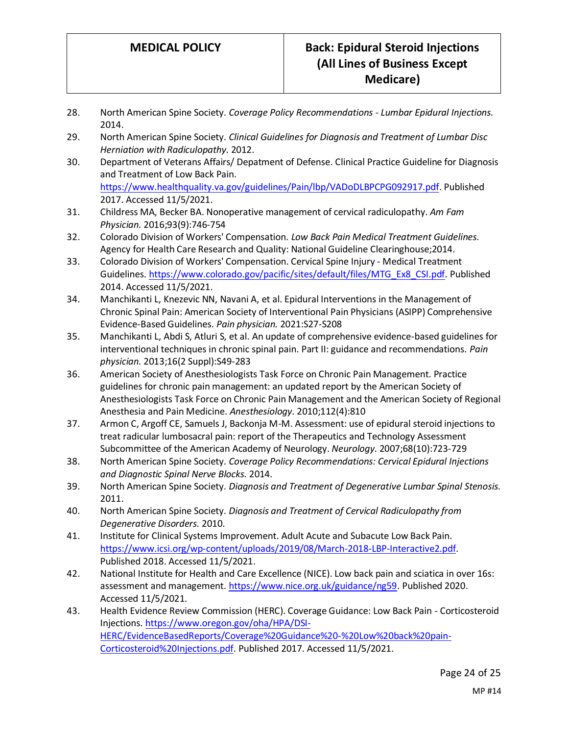- 28. North American Spine Society. *Coverage Policy Recommendations - Lumbar Epidural Injections.*  2014.
- 29. North American Spine Society. *Clinical Guidelines for Diagnosis and Treatment of Lumbar Disc Herniation with Radiculopathy.* 2012.
- 30. Department of Veterans Affairs/ Depatment of Defense. Clinical Practice Guideline for Diagnosis and Treatment of Low Back Pain.

[https://www.healthquality.va.gov/guidelines/Pain/lbp/VADoDLBPCPG092917.pdf.](https://www.healthquality.va.gov/guidelines/Pain/lbp/VADoDLBPCPG092917.pdf) Published 2017. Accessed 11/5/2021.

- 31. Childress MA, Becker BA. Nonoperative management of cervical radiculopathy. *Am Fam Physician.* 2016;93(9):746-754
- 32. Colorado Division of Workers' Compensation. *Low Back Pain Medical Treatment Guidelines.* Agency for Health Care Research and Quality: National Guideline Clearinghouse;2014.
- 33. Colorado Division of Workers' Compensation. Cervical Spine Injury Medical Treatment Guidelines[. https://www.colorado.gov/pacific/sites/default/files/MTG\\_Ex8\\_CSI.pdf.](https://www.colorado.gov/pacific/sites/default/files/MTG_Ex8_CSI.pdf) Published 2014. Accessed 11/5/2021.
- 34. Manchikanti L, Knezevic NN, Navani A, et al. Epidural Interventions in the Management of Chronic Spinal Pain: American Society of Interventional Pain Physicians (ASIPP) Comprehensive Evidence-Based Guidelines. *Pain physician.* 2021:S27-S208
- 35. Manchikanti L, Abdi S, Atluri S, et al. An update of comprehensive evidence-based guidelines for interventional techniques in chronic spinal pain. Part II: guidance and recommendations. *Pain physician.* 2013;16(2 Suppl):S49-283
- 36. American Society of Anesthesiologists Task Force on Chronic Pain Management. Practice guidelines for chronic pain management: an updated report by the American Society of Anesthesiologists Task Force on Chronic Pain Management and the American Society of Regional Anesthesia and Pain Medicine. *Anesthesiology.* 2010;112(4):810
- 37. Armon C, Argoff CE, Samuels J, Backonja M-M. Assessment: use of epidural steroid injections to treat radicular lumbosacral pain: report of the Therapeutics and Technology Assessment Subcommittee of the American Academy of Neurology. *Neurology.* 2007;68(10):723-729
- 38. North American Spine Society. *Coverage Policy Recommendations: Cervical Epidural Injections and Diagnostic Spinal Nerve Blocks.* 2014.
- 39. North American Spine Society. *Diagnosis and Treatment of Degenerative Lumbar Spinal Stenosis.*  2011.
- 40. North American Spine Society. *Diagnosis and Treatment of Cervical Radiculopathy from Degenerative Disorders.* 2010.
- 41. Institute for Clinical Systems Improvement. Adult Acute and Subacute Low Back Pain. [https://www.icsi.org/wp-content/uploads/2019/08/March-2018-LBP-Interactive2.pdf.](https://www.icsi.org/wp-content/uploads/2019/08/March-2018-LBP-Interactive2.pdf) Published 2018. Accessed 11/5/2021.
- 42. National Institute for Health and Care Excellence (NICE). Low back pain and sciatica in over 16s: assessment and management[. https://www.nice.org.uk/guidance/ng59.](https://www.nice.org.uk/guidance/ng59) Published 2020. Accessed 11/5/2021.
- 43. Health Evidence Review Commission (HERC). Coverage Guidance: Low Back Pain Corticosteroid Injections[. https://www.oregon.gov/oha/HPA/DSI-](https://www.oregon.gov/oha/HPA/DSI-HERC/EvidenceBasedReports/Coverage%20Guidance%20-%20Low%20back%20pain-Corticosteroid%20Injections.pdf)[HERC/EvidenceBasedReports/Coverage%20Guidance%20-%20Low%20back%20pain-](https://www.oregon.gov/oha/HPA/DSI-HERC/EvidenceBasedReports/Coverage%20Guidance%20-%20Low%20back%20pain-Corticosteroid%20Injections.pdf)[Corticosteroid%20Injections.pdf.](https://www.oregon.gov/oha/HPA/DSI-HERC/EvidenceBasedReports/Coverage%20Guidance%20-%20Low%20back%20pain-Corticosteroid%20Injections.pdf) Published 2017. Accessed 11/5/2021.